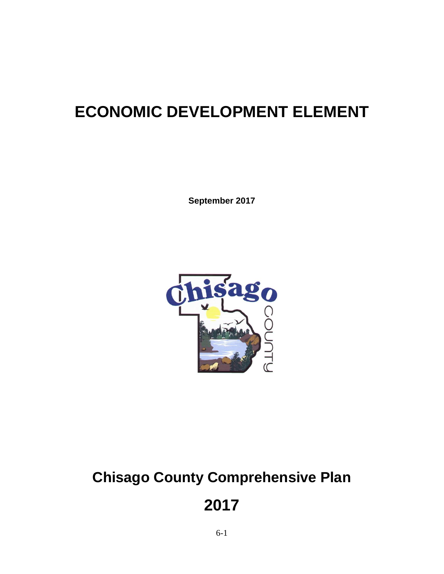## **ECONOMIC DEVELOPMENT ELEMENT**

**September 2017**



# **Chisago County Comprehensive Plan**

**2017**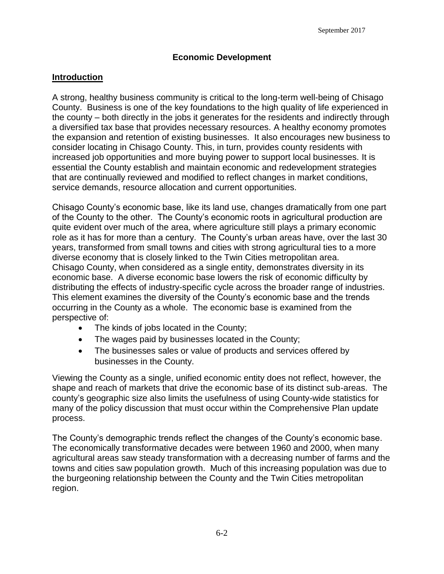#### **Economic Development**

#### **Introduction**

A strong, healthy business community is critical to the long-term well-being of Chisago County. Business is one of the key foundations to the high quality of life experienced in the county – both directly in the jobs it generates for the residents and indirectly through a diversified tax base that provides necessary resources. A healthy economy promotes the expansion and retention of existing businesses. It also encourages new business to consider locating in Chisago County. This, in turn, provides county residents with increased job opportunities and more buying power to support local businesses. It is essential the County establish and maintain economic and redevelopment strategies that are continually reviewed and modified to reflect changes in market conditions, service demands, resource allocation and current opportunities.

Chisago County's economic base, like its land use, changes dramatically from one part of the County to the other. The County's economic roots in agricultural production are quite evident over much of the area, where agriculture still plays a primary economic role as it has for more than a century. The County's urban areas have, over the last 30 years, transformed from small towns and cities with strong agricultural ties to a more diverse economy that is closely linked to the Twin Cities metropolitan area. Chisago County, when considered as a single entity, demonstrates diversity in its economic base. A diverse economic base lowers the risk of economic difficulty by distributing the effects of industry-specific cycle across the broader range of industries. This element examines the diversity of the County's economic base and the trends occurring in the County as a whole. The economic base is examined from the perspective of:

- The kinds of jobs located in the County;
- The wages paid by businesses located in the County;
- The businesses sales or value of products and services offered by businesses in the County.

Viewing the County as a single, unified economic entity does not reflect, however, the shape and reach of markets that drive the economic base of its distinct sub-areas. The county's geographic size also limits the usefulness of using County-wide statistics for many of the policy discussion that must occur within the Comprehensive Plan update process.

The County's demographic trends reflect the changes of the County's economic base. The economically transformative decades were between 1960 and 2000, when many agricultural areas saw steady transformation with a decreasing number of farms and the towns and cities saw population growth. Much of this increasing population was due to the burgeoning relationship between the County and the Twin Cities metropolitan region.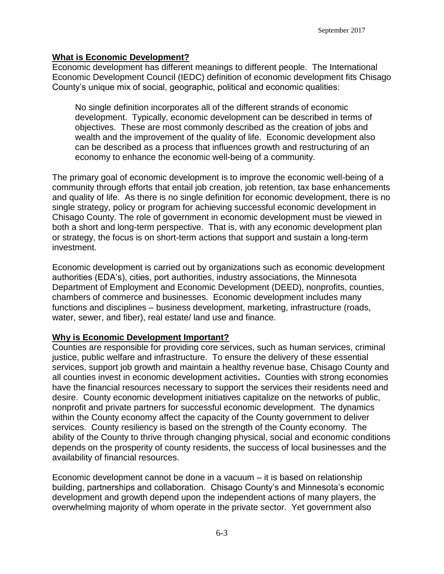#### **What is Economic Development?**

Economic development has different meanings to different people. The International Economic Development Council (IEDC) definition of economic development fits Chisago County's unique mix of social, geographic, political and economic qualities:

No single definition incorporates all of the different strands of economic development. Typically, economic development can be described in terms of objectives. These are most commonly described as the creation of jobs and wealth and the improvement of the quality of life. Economic development also can be described as a process that influences growth and restructuring of an economy to enhance the economic well-being of a community.

The primary goal of economic development is to improve the economic well-being of a community through efforts that entail job creation, job retention, tax base enhancements and quality of life. As there is no single definition for economic development, there is no single strategy, policy or program for achieving successful economic development in Chisago County. The role of government in economic development must be viewed in both a short and long-term perspective. That is, with any economic development plan or strategy, the focus is on short-term actions that support and sustain a long-term investment.

Economic development is carried out by organizations such as economic development authorities (EDA's), cities, port authorities, industry associations, the Minnesota Department of Employment and Economic Development (DEED), nonprofits, counties, chambers of commerce and businesses. Economic development includes many functions and disciplines – business development, marketing, infrastructure (roads, water, sewer, and fiber), real estate/ land use and finance.

#### **Why is Economic Development Important?**

Counties are responsible for providing core services, such as human services, criminal justice, public welfare and infrastructure. To ensure the delivery of these essential services, support job growth and maintain a healthy revenue base, Chisago County and all counties invest in economic development activities**.** Counties with strong economies have the financial resources necessary to support the services their residents need and desire. County economic development initiatives capitalize on the networks of public, nonprofit and private partners for successful economic development. The dynamics within the County economy affect the capacity of the County government to deliver services. County resiliency is based on the strength of the County economy. The ability of the County to thrive through changing physical, social and economic conditions depends on the prosperity of county residents, the success of local businesses and the availability of financial resources.

Economic development cannot be done in a vacuum – it is based on relationship building, partnerships and collaboration. Chisago County's and Minnesota's economic development and growth depend upon the independent actions of many players, the overwhelming majority of whom operate in the private sector. Yet government also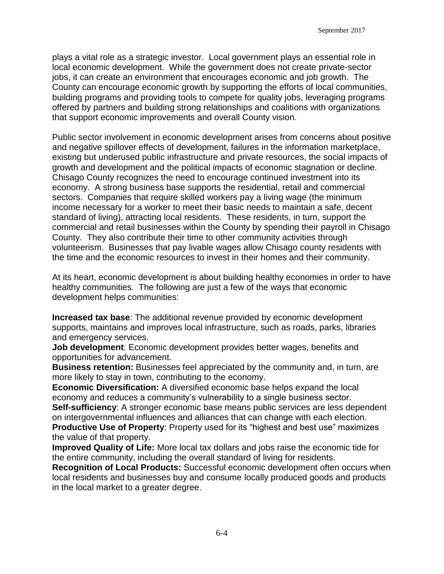plays a vital role as a strategic investor. Local government plays an essential role in local economic development. While the government does not create private-sector jobs, it can create an environment that encourages economic and job growth. The County can encourage economic growth by supporting the efforts of local communities, building programs and providing tools to compete for quality jobs, leveraging programs offered by partners and building strong relationships and coalitions with organizations that support economic improvements and overall County vision.

Public sector involvement in economic development arises from concerns about positive and negative spillover effects of development, failures in the information marketplace, existing but underused public infrastructure and private resources, the social impacts of growth and development and the political impacts of economic stagnation or decline. Chisago County recognizes the need to encourage continued investment into its economy. A strong business base supports the residential, retail and commercial sectors. Companies that require skilled workers pay a living wage (the minimum income necessary for a worker to meet their basic needs to maintain a safe, decent standard of living), attracting local residents. These residents, in turn, support the commercial and retail businesses within the County by spending their payroll in Chisago County. They also contribute their time to other community activities through volunteerism. Businesses that pay livable wages allow Chisago county residents with the time and the economic resources to invest in their homes and their community.

At its heart, economic development is about building healthy economies in order to have healthy communities. The following are just a few of the ways that economic development helps communities:

**Increased tax base**: The additional revenue provided by economic development supports, maintains and improves local infrastructure, such as roads, parks, libraries and emergency services.

**Job development**: Economic development provides better wages, benefits and opportunities for advancement.

**Business retention:** Businesses feel appreciated by the community and, in turn, are more likely to stay in town, contributing to the economy.

**Economic Diversification:** A diversified economic base helps expand the local economy and reduces a community's vulnerability to a single business sector.

**Self-sufficiency**: A stronger economic base means public services are less dependent on intergovernmental influences and alliances that can change with each election.

**Productive Use of Property**: Property used for its "highest and best use" maximizes the value of that property.

**Improved Quality of Life:** More local tax dollars and jobs raise the economic tide for the entire community, including the overall standard of living for residents.

**Recognition of Local Products:** Successful economic development often occurs when local residents and businesses buy and consume locally produced goods and products in the local market to a greater degree.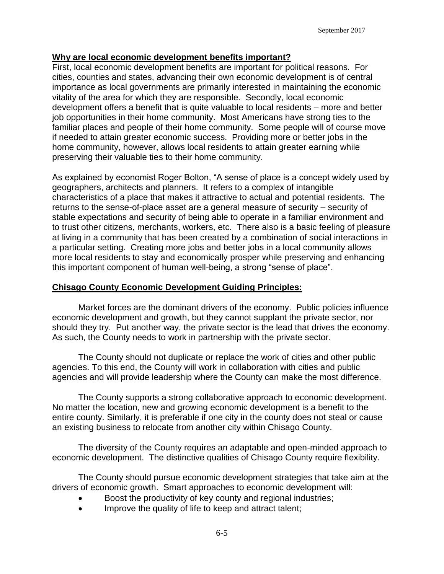#### **Why are local economic development benefits important?**

First, local economic development benefits are important for political reasons. For cities, counties and states, advancing their own economic development is of central importance as local governments are primarily interested in maintaining the economic vitality of the area for which they are responsible. Secondly, local economic development offers a benefit that is quite valuable to local residents – more and better job opportunities in their home community. Most Americans have strong ties to the familiar places and people of their home community. Some people will of course move if needed to attain greater economic success. Providing more or better jobs in the home community, however, allows local residents to attain greater earning while preserving their valuable ties to their home community.

As explained by economist Roger Bolton, "A sense of place is a concept widely used by geographers, architects and planners. It refers to a complex of intangible characteristics of a place that makes it attractive to actual and potential residents. The returns to the sense-of-place asset are a general measure of security – security of stable expectations and security of being able to operate in a familiar environment and to trust other citizens, merchants, workers, etc. There also is a basic feeling of pleasure at living in a community that has been created by a combination of social interactions in a particular setting. Creating more jobs and better jobs in a local community allows more local residents to stay and economically prosper while preserving and enhancing this important component of human well-being, a strong "sense of place".

#### **Chisago County Economic Development Guiding Principles:**

Market forces are the dominant drivers of the economy. Public policies influence economic development and growth, but they cannot supplant the private sector, nor should they try. Put another way, the private sector is the lead that drives the economy. As such, the County needs to work in partnership with the private sector.

The County should not duplicate or replace the work of cities and other public agencies. To this end, the County will work in collaboration with cities and public agencies and will provide leadership where the County can make the most difference.

The County supports a strong collaborative approach to economic development. No matter the location, new and growing economic development is a benefit to the entire county. Similarly, it is preferable if one city in the county does not steal or cause an existing business to relocate from another city within Chisago County.

The diversity of the County requires an adaptable and open-minded approach to economic development. The distinctive qualities of Chisago County require flexibility.

The County should pursue economic development strategies that take aim at the drivers of economic growth. Smart approaches to economic development will:

- Boost the productivity of key county and regional industries;
- Improve the quality of life to keep and attract talent;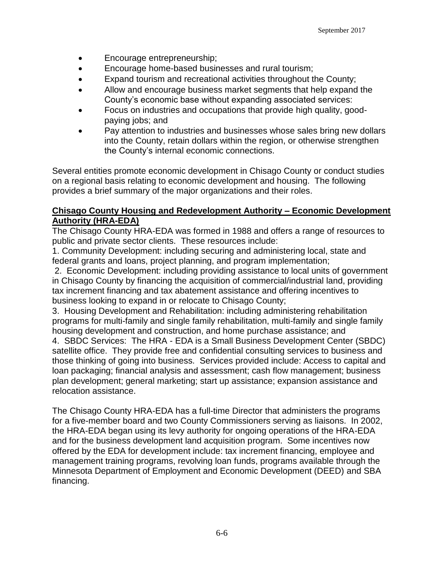- Encourage entrepreneurship;
- Encourage home-based businesses and rural tourism;
- Expand tourism and recreational activities throughout the County;
- Allow and encourage business market segments that help expand the County's economic base without expanding associated services:
- Focus on industries and occupations that provide high quality, goodpaying jobs; and
- Pay attention to industries and businesses whose sales bring new dollars into the County, retain dollars within the region, or otherwise strengthen the County's internal economic connections.

Several entities promote economic development in Chisago County or conduct studies on a regional basis relating to economic development and housing. The following provides a brief summary of the major organizations and their roles.

#### **Chisago County Housing and Redevelopment Authority – Economic Development Authority (HRA-EDA)**

The Chisago County HRA-EDA was formed in 1988 and offers a range of resources to public and private sector clients. These resources include:

1. Community Development: including securing and administering local, state and federal grants and loans, project planning, and program implementation;

2. Economic Development: including providing assistance to local units of government in Chisago County by financing the acquisition of commercial/industrial land, providing tax increment financing and tax abatement assistance and offering incentives to business looking to expand in or relocate to Chisago County;

3. Housing Development and Rehabilitation: including administering rehabilitation programs for multi-family and single family rehabilitation, multi-family and single family housing development and construction, and home purchase assistance; and

4. SBDC Services: The HRA - EDA is a Small Business Development Center (SBDC) satellite office. They provide free and confidential consulting services to business and those thinking of going into business. Services provided include: Access to capital and loan packaging; financial analysis and assessment; cash flow management; business plan development; general marketing; start up assistance; expansion assistance and relocation assistance.

The Chisago County HRA-EDA has a full-time Director that administers the programs for a five-member board and two County Commissioners serving as liaisons. In 2002, the HRA-EDA began using its levy authority for ongoing operations of the HRA-EDA and for the business development land acquisition program. Some incentives now offered by the EDA for development include: tax increment financing, employee and management training programs, revolving loan funds, programs available through the Minnesota Department of Employment and Economic Development (DEED) and SBA financing.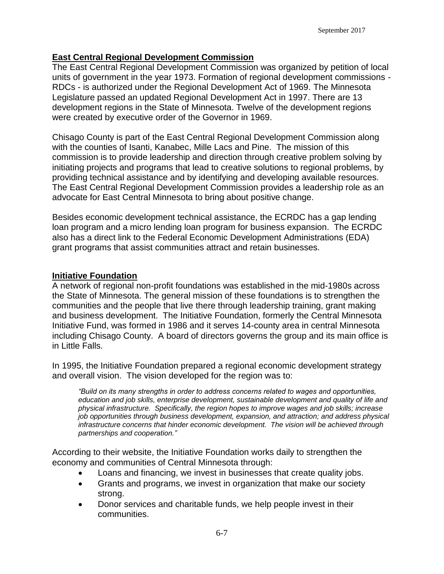#### **East Central Regional Development Commission**

The East Central Regional Development Commission was organized by petition of local units of government in the year 1973. Formation of regional development commissions - RDCs - is authorized under the Regional Development Act of 1969. The Minnesota Legislature passed an updated Regional Development Act in 1997. There are 13 development regions in the State of Minnesota. Twelve of the development regions were created by executive order of the Governor in 1969.

Chisago County is part of the East Central Regional Development Commission along with the counties of Isanti, Kanabec, Mille Lacs and Pine. The mission of this commission is to provide leadership and direction through creative problem solving by initiating projects and programs that lead to creative solutions to regional problems, by providing technical assistance and by identifying and developing available resources. The East Central Regional Development Commission provides a leadership role as an advocate for East Central Minnesota to bring about positive change.

Besides economic development technical assistance, the ECRDC has a gap lending loan program and a micro lending loan program for business expansion. The ECRDC also has a direct link to the Federal Economic Development Administrations (EDA) grant programs that assist communities attract and retain businesses.

#### **Initiative Foundation**

A network of regional non-profit foundations was established in the mid-1980s across the State of Minnesota. The general mission of these foundations is to strengthen the communities and the people that live there through leadership training, grant making and business development. The Initiative Foundation, formerly the Central Minnesota Initiative Fund, was formed in 1986 and it serves 14-county area in central Minnesota including Chisago County. A board of directors governs the group and its main office is in Little Falls.

In 1995, the Initiative Foundation prepared a regional economic development strategy and overall vision. The vision developed for the region was to:

*"Build on its many strengths in order to address concerns related to wages and opportunities, education and job skills, enterprise development, sustainable development and quality of life and physical infrastructure. Specifically, the region hopes to improve wages and job skills; increase job opportunities through business development, expansion, and attraction; and address physical infrastructure concerns that hinder economic development. The vision will be achieved through partnerships and cooperation."*

According to their website, the Initiative Foundation works daily to strengthen the economy and communities of Central Minnesota through:

- Loans and financing, we invest in businesses that create quality jobs.
- Grants and programs, we invest in organization that make our society strong.
- Donor services and charitable funds, we help people invest in their communities.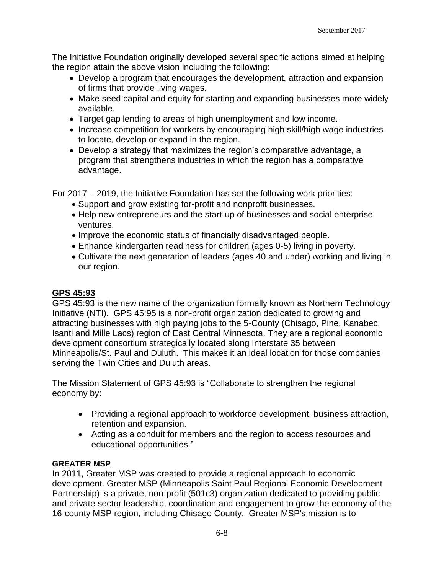The Initiative Foundation originally developed several specific actions aimed at helping the region attain the above vision including the following:

- Develop a program that encourages the development, attraction and expansion of firms that provide living wages.
- Make seed capital and equity for starting and expanding businesses more widely available.
- Target gap lending to areas of high unemployment and low income.
- Increase competition for workers by encouraging high skill/high wage industries to locate, develop or expand in the region.
- Develop a strategy that maximizes the region's comparative advantage, a program that strengthens industries in which the region has a comparative advantage.

For 2017 – 2019, the Initiative Foundation has set the following work priorities:

- Support and grow existing for-profit and nonprofit businesses.
- Help new entrepreneurs and the start-up of businesses and social enterprise ventures.
- Improve the economic status of financially disadvantaged people.
- Enhance kindergarten readiness for children (ages 0-5) living in poverty.
- Cultivate the next generation of leaders (ages 40 and under) working and living in our region.

### **GPS 45:93**

GPS 45:93 is the new name of the organization formally known as Northern Technology Initiative (NTI). GPS 45:95 is a non-profit organization dedicated to growing and attracting businesses with high paying jobs to the 5-County (Chisago, Pine, Kanabec, Isanti and Mille Lacs) region of East Central Minnesota. They are a regional economic development consortium strategically located along Interstate 35 between Minneapolis/St. Paul and Duluth. This makes it an ideal location for those companies serving the Twin Cities and Duluth areas.

The Mission Statement of GPS 45:93 is "Collaborate to strengthen the regional economy by:

- Providing a regional approach to workforce development, business attraction, retention and expansion.
- Acting as a conduit for members and the region to access resources and educational opportunities."

#### **GREATER MSP**

In 2011, Greater MSP was created to provide a regional approach to economic development. Greater MSP (Minneapolis Saint Paul Regional Economic Development Partnership) is a private, non-profit (501c3) organization dedicated to providing public and private sector leadership, coordination and engagement to grow the economy of the 16-county MSP region, including Chisago County. Greater MSP's mission is to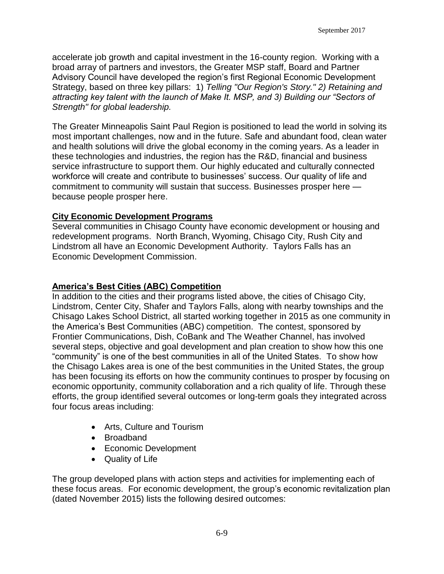accelerate job growth and capital investment in the 16-county region. Working with a broad array of partners and investors, the Greater MSP staff, Board and Partner Advisory Council have developed the region's first Regional Economic Development Strategy, based on three key pillars: 1) *Telling "Our Region's Story." 2) Retaining and attracting key talent with the launch of Make It. MSP, and 3) Building our "Sectors of Strength" for global leadership.*

The Greater Minneapolis Saint Paul Region is positioned to lead the world in solving its most important challenges, now and in the future. Safe and abundant food, clean water and health solutions will drive the global economy in the coming years. As a leader in these technologies and industries, the region has the R&D, financial and business service infrastructure to support them. Our highly educated and culturally connected workforce will create and contribute to businesses' success. Our quality of life and commitment to community will sustain that success. Businesses prosper here because people prosper here.

#### **City Economic Development Programs**

Several communities in Chisago County have economic development or housing and redevelopment programs. North Branch, Wyoming, Chisago City, Rush City and Lindstrom all have an Economic Development Authority. Taylors Falls has an Economic Development Commission.

#### **America's Best Cities (ABC) Competition**

In addition to the cities and their programs listed above, the cities of Chisago City, Lindstrom, Center City, Shafer and Taylors Falls, along with nearby townships and the Chisago Lakes School District, all started working together in 2015 as one community in the America's Best Communities (ABC) competition. The contest, sponsored by Frontier Communications, Dish, CoBank and The Weather Channel, has involved several steps, objective and goal development and plan creation to show how this one "community" is one of the best communities in all of the United States. To show how the Chisago Lakes area is one of the best communities in the United States, the group has been focusing its efforts on how the community continues to prosper by focusing on economic opportunity, community collaboration and a rich quality of life. Through these efforts, the group identified several outcomes or long-term goals they integrated across four focus areas including:

- Arts, Culture and Tourism
- Broadband
- Economic Development
- Quality of Life

The group developed plans with action steps and activities for implementing each of these focus areas. For economic development, the group's economic revitalization plan (dated November 2015) lists the following desired outcomes: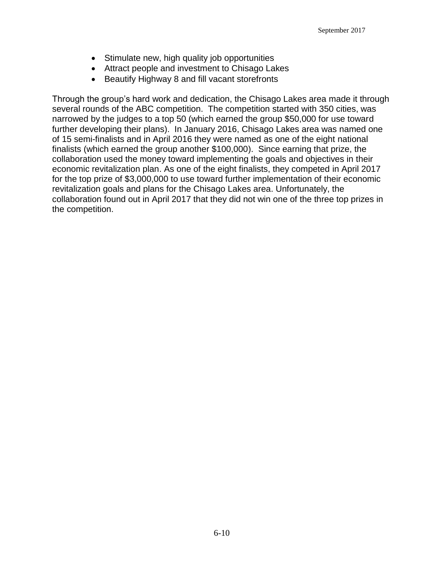- Stimulate new, high quality job opportunities
- Attract people and investment to Chisago Lakes
- Beautify Highway 8 and fill vacant storefronts

Through the group's hard work and dedication, the Chisago Lakes area made it through several rounds of the ABC competition. The competition started with 350 cities, was narrowed by the judges to a top 50 (which earned the group \$50,000 for use toward further developing their plans). In January 2016, Chisago Lakes area was named one of 15 semi-finalists and in April 2016 they were named as one of the eight national finalists (which earned the group another \$100,000). Since earning that prize, the collaboration used the money toward implementing the goals and objectives in their economic revitalization plan. As one of the eight finalists, they competed in April 2017 for the top prize of \$3,000,000 to use toward further implementation of their economic revitalization goals and plans for the Chisago Lakes area. Unfortunately, the collaboration found out in April 2017 that they did not win one of the three top prizes in the competition.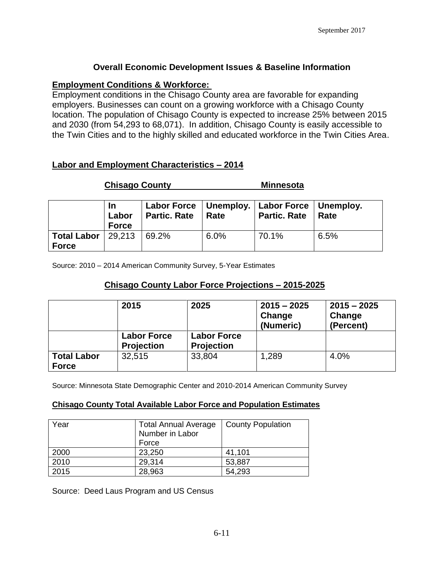#### **Overall Economic Development Issues & Baseline Information**

#### **Employment Conditions & Workforce:**

Employment conditions in the Chisago County area are favorable for expanding employers. Businesses can count on a growing workforce with a Chisago County location. The population of Chisago County is expected to increase 25% between 2015 and 2030 (from 54,293 to 68,071). In addition, Chisago County is easily accessible to the Twin Cities and to the highly skilled and educated workforce in the Twin Cities Area.

### **Labor and Employment Characteristics – 2014**

### **Chisago County Minnesota**

|                                                     | Labor<br><b>Force</b> | Labor Force   Unemploy.   Labor Force   Unemploy.<br><b>Partic. Rate</b> | Rate | <b>Partic. Rate</b> | <b>Rate</b> |
|-----------------------------------------------------|-----------------------|--------------------------------------------------------------------------|------|---------------------|-------------|
| <b>Total Labor</b>   29,213   69.2%<br><b>Force</b> |                       |                                                                          | 6.0% | 70.1%               | 6.5%        |

Source: 2010 – 2014 American Community Survey, 5-Year Estimates

### **Chisago County Labor Force Projections – 2015-2025**

|                                    | 2015                                    | 2025                                    | $2015 - 2025$<br>Change<br>(Numeric) | $2015 - 2025$<br>Change<br>(Percent) |
|------------------------------------|-----------------------------------------|-----------------------------------------|--------------------------------------|--------------------------------------|
|                                    | <b>Labor Force</b><br><b>Projection</b> | <b>Labor Force</b><br><b>Projection</b> |                                      |                                      |
| <b>Total Labor</b><br><b>Force</b> | 32,515                                  | 33,804                                  | 1,289                                | 4.0%                                 |

Source: Minnesota State Demographic Center and 2010-2014 American Community Survey

#### **Chisago County Total Available Labor Force and Population Estimates**

| Year | <b>Total Annual Average</b><br>Number in Labor<br>Force | <b>County Population</b> |
|------|---------------------------------------------------------|--------------------------|
| 2000 | 23,250                                                  | 41,101                   |
| 2010 | 29,314                                                  | 53,887                   |
| 2015 | 28,963                                                  | 54,293                   |

Source: Deed Laus Program and US Census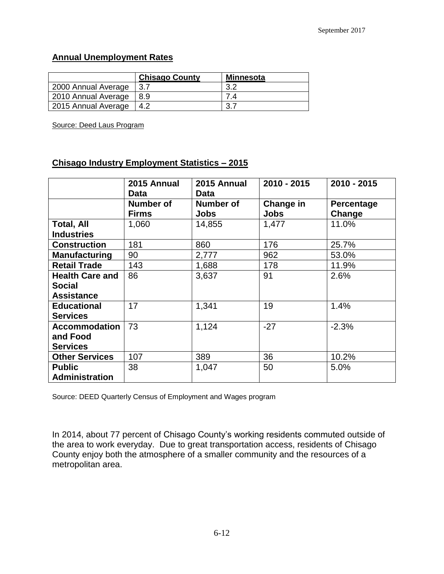#### **Annual Unemployment Rates**

|                     | <b>Chisago County</b> | <b>Minnesota</b> |
|---------------------|-----------------------|------------------|
| 2000 Annual Average | -3.7                  | 3.2              |
| 2010 Annual Average | -8.9                  |                  |
| 2015 Annual Average | 4.2                   |                  |

Source: Deed Laus Program

#### **Chisago Industry Employment Statistics – 2015**

|                                                              | 2015 Annual<br>Data       | 2015 Annual<br><b>Data</b> | $2010 - 2015$            | 2010 - 2015          |
|--------------------------------------------------------------|---------------------------|----------------------------|--------------------------|----------------------|
|                                                              | Number of<br><b>Firms</b> | Number of<br><b>Jobs</b>   | Change in<br><b>Jobs</b> | Percentage<br>Change |
| <b>Total, All</b><br><b>Industries</b>                       | 1,060                     | 14,855                     | 1,477                    | 11.0%                |
| <b>Construction</b>                                          | 181                       | 860                        | 176                      | 25.7%                |
| <b>Manufacturing</b>                                         | 90                        | 2,777                      | 962                      | 53.0%                |
| <b>Retail Trade</b>                                          | 143                       | 1,688                      | 178                      | 11.9%                |
| <b>Health Care and</b><br><b>Social</b><br><b>Assistance</b> | 86                        | 3,637                      | 91                       | 2.6%                 |
| <b>Educational</b><br><b>Services</b>                        | 17                        | 1,341                      | 19                       | 1.4%                 |
| <b>Accommodation</b><br>and Food<br><b>Services</b>          | 73                        | 1,124                      | $-27$                    | $-2.3%$              |
| <b>Other Services</b>                                        | 107                       | 389                        | 36                       | 10.2%                |
| <b>Public</b><br>Administration                              | 38                        | 1,047                      | 50                       | 5.0%                 |

Source: DEED Quarterly Census of Employment and Wages program

In 2014, about 77 percent of Chisago County's working residents commuted outside of the area to work everyday. Due to great transportation access, residents of Chisago County enjoy both the atmosphere of a smaller community and the resources of a metropolitan area.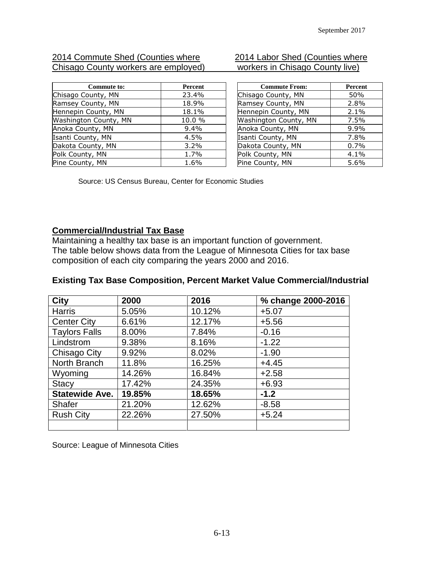#### 2014 Commute Shed (Counties where 2014 Labor Shed (Counties where Chisago County workers are employed) Chisago County workers are employed)

| <b>Commute to:</b>    | <b>Percent</b> |
|-----------------------|----------------|
| Chisago County, MN    | 23.4%          |
| Ramsey County, MN     | 18.9%          |
| Hennepin County, MN   | 18.1%          |
| Washington County, MN | 10.0 %         |
| Anoka County, MN      | $9.4\%$        |
| Isanti County, MN     | 4.5%           |
| Dakota County, MN     | 3.2%           |
| Polk County, MN       | 1.7%           |
| Pine County, MN       | 1.6%           |

| <b>Commute From:</b>  | Percent |
|-----------------------|---------|
| Chisago County, MN    | 50%     |
| Ramsey County, MN     | 2.8%    |
| Hennepin County, MN   | 2.1%    |
| Washington County, MN | 7.5%    |
| Anoka County, MN      | 9.9%    |
| Isanti County, MN     | 7.8%    |
| Dakota County, MN     | 0.7%    |
| Polk County, MN       | 4.1%    |
| Pine County, MN       | 5.6%    |

Source: US Census Bureau, Center for Economic Studies

#### **Commercial/Industrial Tax Base**

Maintaining a healthy tax base is an important function of government. The table below shows data from the League of Minnesota Cities for tax base composition of each city comparing the years 2000 and 2016.

#### **Existing Tax Base Composition, Percent Market Value Commercial/Industrial**

| <b>City</b>           | 2000   | 2016   | % change 2000-2016 |
|-----------------------|--------|--------|--------------------|
| <b>Harris</b>         | 5.05%  | 10.12% | $+5.07$            |
| <b>Center City</b>    | 6.61%  | 12.17% | $+5.56$            |
| <b>Taylors Falls</b>  | 8.00%  | 7.84%  | $-0.16$            |
| Lindstrom             | 9.38%  | 8.16%  | $-1.22$            |
| Chisago City          | 9.92%  | 8.02%  | $-1.90$            |
| North Branch          | 11.8%  | 16.25% | $+4.45$            |
| Wyoming               | 14.26% | 16.84% | $+2.58$            |
| <b>Stacy</b>          | 17.42% | 24.35% | $+6.93$            |
| <b>Statewide Ave.</b> | 19.85% | 18.65% | $-1.2$             |
| <b>Shafer</b>         | 21.20% | 12.62% | $-8.58$            |
| <b>Rush City</b>      | 22.26% | 27.50% | $+5.24$            |
|                       |        |        |                    |

Source: League of Minnesota Cities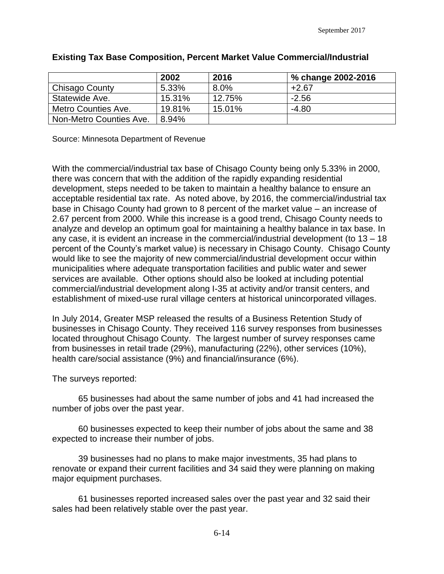|                         | 2002   | 2016   | % change 2002-2016 |
|-------------------------|--------|--------|--------------------|
| Chisago County          | 5.33%  | 8.0%   | $+2.67$            |
| Statewide Ave.          | 15.31% | 12.75% | $-2.56$            |
| Metro Counties Ave.     | 19.81% | 15.01% | $-4.80$            |
| Non-Metro Counties Ave. | 8.94%  |        |                    |

#### **Existing Tax Base Composition, Percent Market Value Commercial/Industrial**

Source: Minnesota Department of Revenue

With the commercial/industrial tax base of Chisago County being only 5.33% in 2000, there was concern that with the addition of the rapidly expanding residential development, steps needed to be taken to maintain a healthy balance to ensure an acceptable residential tax rate. As noted above, by 2016, the commercial/industrial tax base in Chisago County had grown to 8 percent of the market value – an increase of 2.67 percent from 2000. While this increase is a good trend, Chisago County needs to analyze and develop an optimum goal for maintaining a healthy balance in tax base. In any case, it is evident an increase in the commercial/industrial development (to 13 – 18 percent of the County's market value) is necessary in Chisago County. Chisago County would like to see the majority of new commercial/industrial development occur within municipalities where adequate transportation facilities and public water and sewer services are available. Other options should also be looked at including potential commercial/industrial development along I-35 at activity and/or transit centers, and establishment of mixed-use rural village centers at historical unincorporated villages.

In July 2014, Greater MSP released the results of a Business Retention Study of businesses in Chisago County. They received 116 survey responses from businesses located throughout Chisago County. The largest number of survey responses came from businesses in retail trade (29%), manufacturing (22%), other services (10%), health care/social assistance (9%) and financial/insurance (6%).

The surveys reported:

65 businesses had about the same number of jobs and 41 had increased the number of jobs over the past year.

60 businesses expected to keep their number of jobs about the same and 38 expected to increase their number of jobs.

39 businesses had no plans to make major investments, 35 had plans to renovate or expand their current facilities and 34 said they were planning on making major equipment purchases.

61 businesses reported increased sales over the past year and 32 said their sales had been relatively stable over the past year.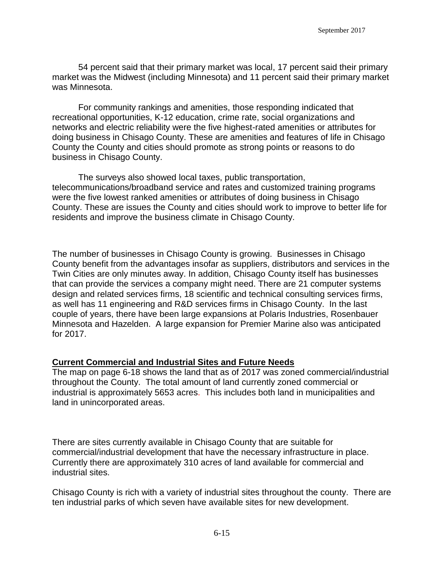54 percent said that their primary market was local, 17 percent said their primary market was the Midwest (including Minnesota) and 11 percent said their primary market was Minnesota.

For community rankings and amenities, those responding indicated that recreational opportunities, K-12 education, crime rate, social organizations and networks and electric reliability were the five highest-rated amenities or attributes for doing business in Chisago County. These are amenities and features of life in Chisago County the County and cities should promote as strong points or reasons to do business in Chisago County.

The surveys also showed local taxes, public transportation, telecommunications/broadband service and rates and customized training programs were the five lowest ranked amenities or attributes of doing business in Chisago County. These are issues the County and cities should work to improve to better life for residents and improve the business climate in Chisago County.

The number of businesses in Chisago County is growing. Businesses in Chisago County benefit from the advantages insofar as suppliers, distributors and services in the Twin Cities are only minutes away. In addition, Chisago County itself has businesses that can provide the services a company might need. There are 21 computer systems design and related services firms, 18 scientific and technical consulting services firms, as well has 11 engineering and R&D services firms in Chisago County. In the last couple of years, there have been large expansions at Polaris Industries, Rosenbauer Minnesota and Hazelden. A large expansion for Premier Marine also was anticipated for 2017.

#### **Current Commercial and Industrial Sites and Future Needs**

The map on page 6-18 shows the land that as of 2017 was zoned commercial/industrial throughout the County. The total amount of land currently zoned commercial or industrial is approximately 5653 acres. This includes both land in municipalities and land in unincorporated areas.

There are sites currently available in Chisago County that are suitable for commercial/industrial development that have the necessary infrastructure in place. Currently there are approximately 310 acres of land available for commercial and industrial sites.

Chisago County is rich with a variety of industrial sites throughout the county. There are ten industrial parks of which seven have available sites for new development.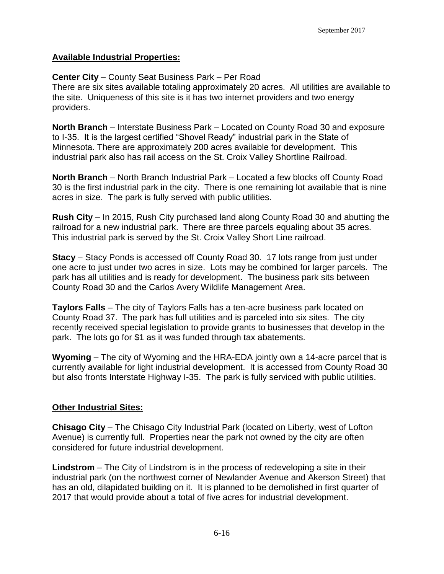#### **Available Industrial Properties:**

#### **Center City** – County Seat Business Park – Per Road

There are six sites available totaling approximately 20 acres. All utilities are available to the site. Uniqueness of this site is it has two internet providers and two energy providers.

**North Branch** – Interstate Business Park – Located on County Road 30 and exposure to I-35. It is the largest certified "Shovel Ready" industrial park in the State of Minnesota. There are approximately 200 acres available for development. This industrial park also has rail access on the St. Croix Valley Shortline Railroad.

**North Branch** – North Branch Industrial Park – Located a few blocks off County Road 30 is the first industrial park in the city. There is one remaining lot available that is nine acres in size. The park is fully served with public utilities.

**Rush City** – In 2015, Rush City purchased land along County Road 30 and abutting the railroad for a new industrial park. There are three parcels equaling about 35 acres. This industrial park is served by the St. Croix Valley Short Line railroad.

**Stacy** – Stacy Ponds is accessed off County Road 30. 17 lots range from just under one acre to just under two acres in size. Lots may be combined for larger parcels. The park has all utilities and is ready for development. The business park sits between County Road 30 and the Carlos Avery Wildlife Management Area.

**Taylors Falls** – The city of Taylors Falls has a ten-acre business park located on County Road 37. The park has full utilities and is parceled into six sites. The city recently received special legislation to provide grants to businesses that develop in the park. The lots go for \$1 as it was funded through tax abatements.

**Wyoming** – The city of Wyoming and the HRA-EDA jointly own a 14-acre parcel that is currently available for light industrial development. It is accessed from County Road 30 but also fronts Interstate Highway I-35. The park is fully serviced with public utilities.

#### **Other Industrial Sites:**

**Chisago City** – The Chisago City Industrial Park (located on Liberty, west of Lofton Avenue) is currently full. Properties near the park not owned by the city are often considered for future industrial development.

**Lindstrom** – The City of Lindstrom is in the process of redeveloping a site in their industrial park (on the northwest corner of Newlander Avenue and Akerson Street) that has an old, dilapidated building on it. It is planned to be demolished in first quarter of 2017 that would provide about a total of five acres for industrial development.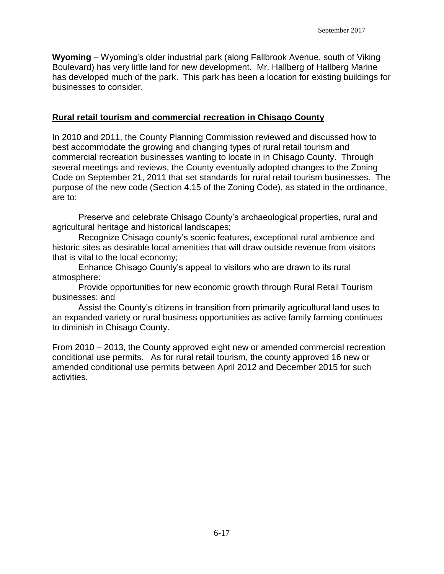**Wyoming** – Wyoming's older industrial park (along Fallbrook Avenue, south of Viking Boulevard) has very little land for new development. Mr. Hallberg of Hallberg Marine has developed much of the park. This park has been a location for existing buildings for businesses to consider.

#### **Rural retail tourism and commercial recreation in Chisago County**

In 2010 and 2011, the County Planning Commission reviewed and discussed how to best accommodate the growing and changing types of rural retail tourism and commercial recreation businesses wanting to locate in in Chisago County. Through several meetings and reviews, the County eventually adopted changes to the Zoning Code on September 21, 2011 that set standards for rural retail tourism businesses. The purpose of the new code (Section 4.15 of the Zoning Code), as stated in the ordinance, are to:

Preserve and celebrate Chisago County's archaeological properties, rural and agricultural heritage and historical landscapes;

Recognize Chisago county's scenic features, exceptional rural ambience and historic sites as desirable local amenities that will draw outside revenue from visitors that is vital to the local economy;

Enhance Chisago County's appeal to visitors who are drawn to its rural atmosphere:

Provide opportunities for new economic growth through Rural Retail Tourism businesses: and

Assist the County's citizens in transition from primarily agricultural land uses to an expanded variety or rural business opportunities as active family farming continues to diminish in Chisago County.

From 2010 – 2013, the County approved eight new or amended commercial recreation conditional use permits. As for rural retail tourism, the county approved 16 new or amended conditional use permits between April 2012 and December 2015 for such activities.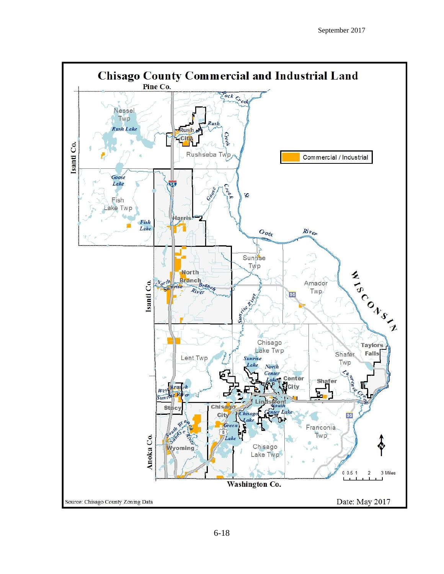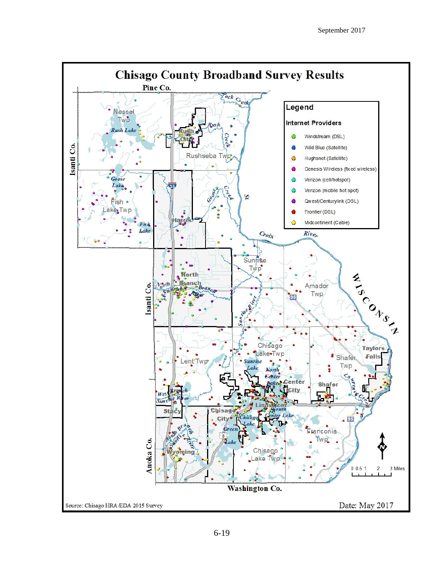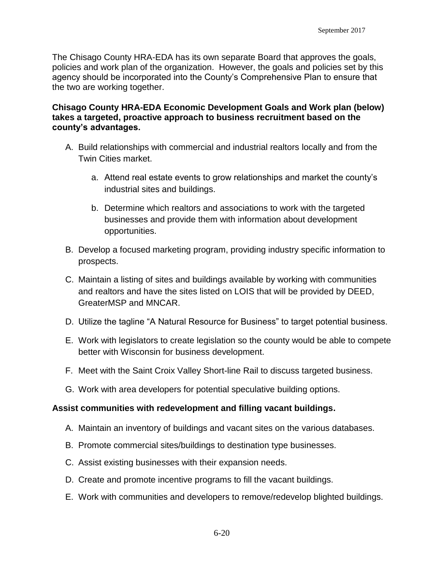The Chisago County HRA-EDA has its own separate Board that approves the goals, policies and work plan of the organization. However, the goals and policies set by this agency should be incorporated into the County's Comprehensive Plan to ensure that the two are working together.

#### **Chisago County HRA-EDA Economic Development Goals and Work plan (below) takes a targeted, proactive approach to business recruitment based on the county's advantages.**

- A. Build relationships with commercial and industrial realtors locally and from the Twin Cities market.
	- a. Attend real estate events to grow relationships and market the county's industrial sites and buildings.
	- b. Determine which realtors and associations to work with the targeted businesses and provide them with information about development opportunities.
- B. Develop a focused marketing program, providing industry specific information to prospects.
- C. Maintain a listing of sites and buildings available by working with communities and realtors and have the sites listed on LOIS that will be provided by DEED, GreaterMSP and MNCAR.
- D. Utilize the tagline "A Natural Resource for Business" to target potential business.
- E. Work with legislators to create legislation so the county would be able to compete better with Wisconsin for business development.
- F. Meet with the Saint Croix Valley Short-line Rail to discuss targeted business.
- G. Work with area developers for potential speculative building options.

#### **Assist communities with redevelopment and filling vacant buildings.**

- A. Maintain an inventory of buildings and vacant sites on the various databases.
- B. Promote commercial sites/buildings to destination type businesses.
- C. Assist existing businesses with their expansion needs.
- D. Create and promote incentive programs to fill the vacant buildings.
- E. Work with communities and developers to remove/redevelop blighted buildings.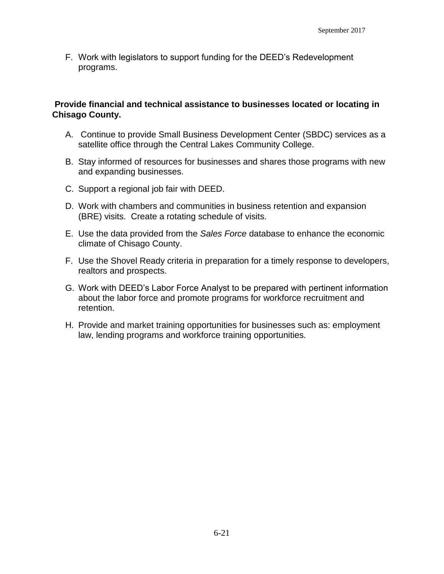F. Work with legislators to support funding for the DEED's Redevelopment programs.

#### **Provide financial and technical assistance to businesses located or locating in Chisago County.**

- A. Continue to provide Small Business Development Center (SBDC) services as a satellite office through the Central Lakes Community College.
- B. Stay informed of resources for businesses and shares those programs with new and expanding businesses.
- C. Support a regional job fair with DEED.
- D. Work with chambers and communities in business retention and expansion (BRE) visits. Create a rotating schedule of visits.
- E. Use the data provided from the *Sales Force* database to enhance the economic climate of Chisago County.
- F. Use the Shovel Ready criteria in preparation for a timely response to developers, realtors and prospects.
- G. Work with DEED's Labor Force Analyst to be prepared with pertinent information about the labor force and promote programs for workforce recruitment and retention.
- H. Provide and market training opportunities for businesses such as: employment law, lending programs and workforce training opportunities.